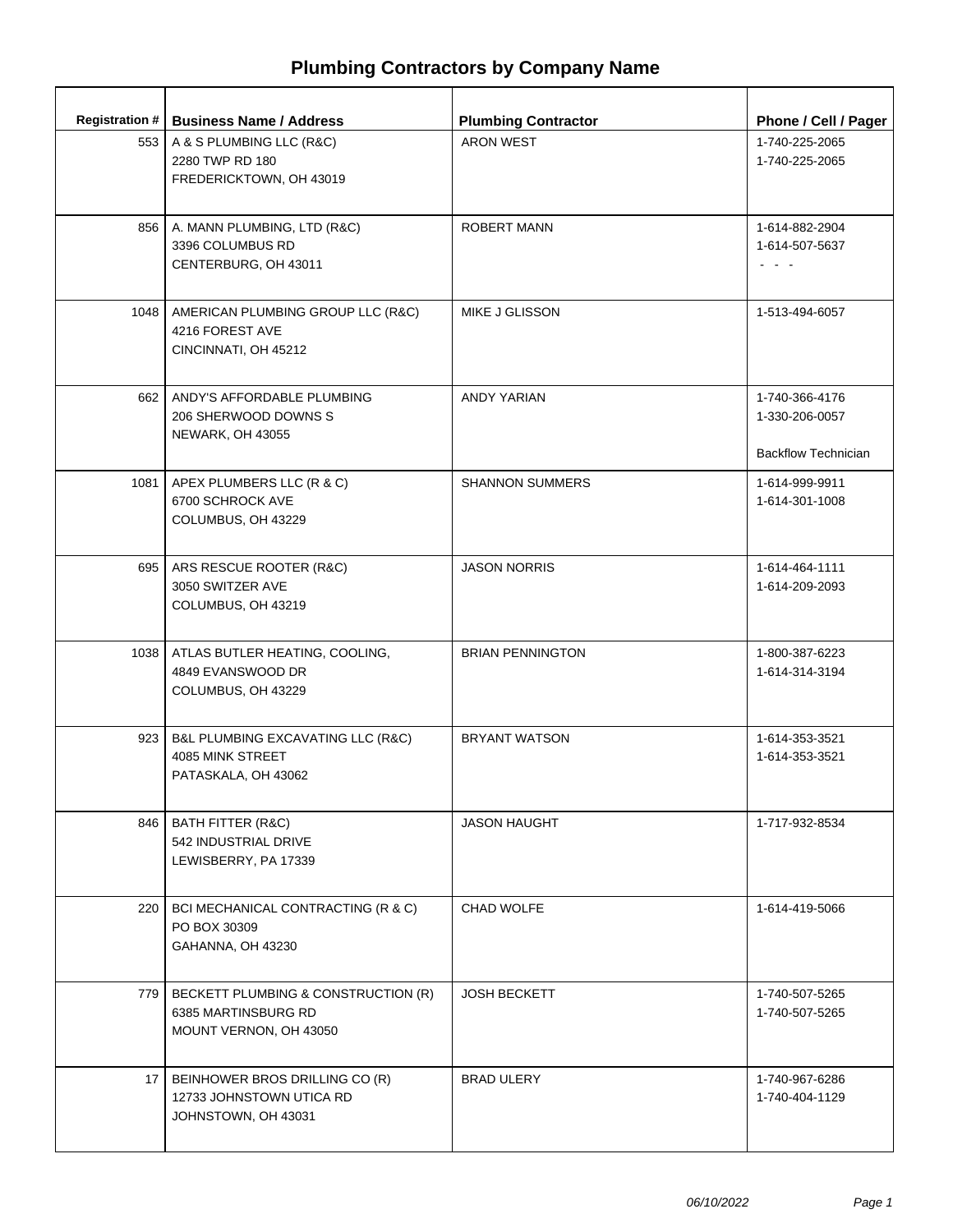|       | Registration #   Business Name / Address                                             | <b>Plumbing Contractor</b> | Phone / Cell / Pager                                           |
|-------|--------------------------------------------------------------------------------------|----------------------------|----------------------------------------------------------------|
|       | 553   A & S PLUMBING LLC (R&C)<br>2280 TWP RD 180<br>FREDERICKTOWN, OH 43019         | <b>ARON WEST</b>           | 1-740-225-2065<br>1-740-225-2065                               |
|       | 856   A. MANN PLUMBING, LTD (R&C)<br>3396 COLUMBUS RD<br>CENTERBURG, OH 43011        | <b>ROBERT MANN</b>         | 1-614-882-2904<br>1-614-507-5637<br>$\omega = \omega - \omega$ |
| 1048  | AMERICAN PLUMBING GROUP LLC (R&C)<br>4216 FOREST AVE<br>CINCINNATI, OH 45212         | MIKE J GLISSON             | 1-513-494-6057                                                 |
|       | 662   ANDY'S AFFORDABLE PLUMBING<br>206 SHERWOOD DOWNS S<br><b>NEWARK, OH 43055</b>  | <b>ANDY YARIAN</b>         | 1-740-366-4176<br>1-330-206-0057<br><b>Backflow Technician</b> |
|       | 1081   APEX PLUMBERS LLC (R & C)<br>6700 SCHROCK AVE<br>COLUMBUS, OH 43229           | <b>SHANNON SUMMERS</b>     | 1-614-999-9911<br>1-614-301-1008                               |
|       | 695   ARS RESCUE ROOTER (R&C)<br>3050 SWITZER AVE<br>COLUMBUS, OH 43219              | <b>JASON NORRIS</b>        | 1-614-464-1111<br>1-614-209-2093                               |
|       | 1038   ATLAS BUTLER HEATING, COOLING,<br>4849 EVANSWOOD DR<br>COLUMBUS, OH 43229     | <b>BRIAN PENNINGTON</b>    | 1-800-387-6223<br>1-614-314-3194                               |
| 923   | B&L PLUMBING EXCAVATING LLC (R&C)<br>4085 MINK STREET<br>PATASKALA, OH 43062         | <b>BRYANT WATSON</b>       | 1-614-353-3521<br>1-614-353-3521                               |
|       | 846   BATH FITTER (R&C)<br>542 INDUSTRIAL DRIVE<br>LEWISBERRY, PA 17339              | <b>JASON HAUGHT</b>        | 1-717-932-8534                                                 |
| 220 l | BCI MECHANICAL CONTRACTING (R & C)<br>PO BOX 30309<br>GAHANNA, OH 43230              | CHAD WOLFE                 | 1-614-419-5066                                                 |
| 779   | BECKETT PLUMBING & CONSTRUCTION (R)<br>6385 MARTINSBURG RD<br>MOUNT VERNON, OH 43050 | <b>JOSH BECKETT</b>        | 1-740-507-5265<br>1-740-507-5265                               |
| 17 I  | BEINHOWER BROS DRILLING CO (R)<br>12733 JOHNSTOWN UTICA RD<br>JOHNSTOWN, OH 43031    | <b>BRAD ULERY</b>          | 1-740-967-6286<br>1-740-404-1129                               |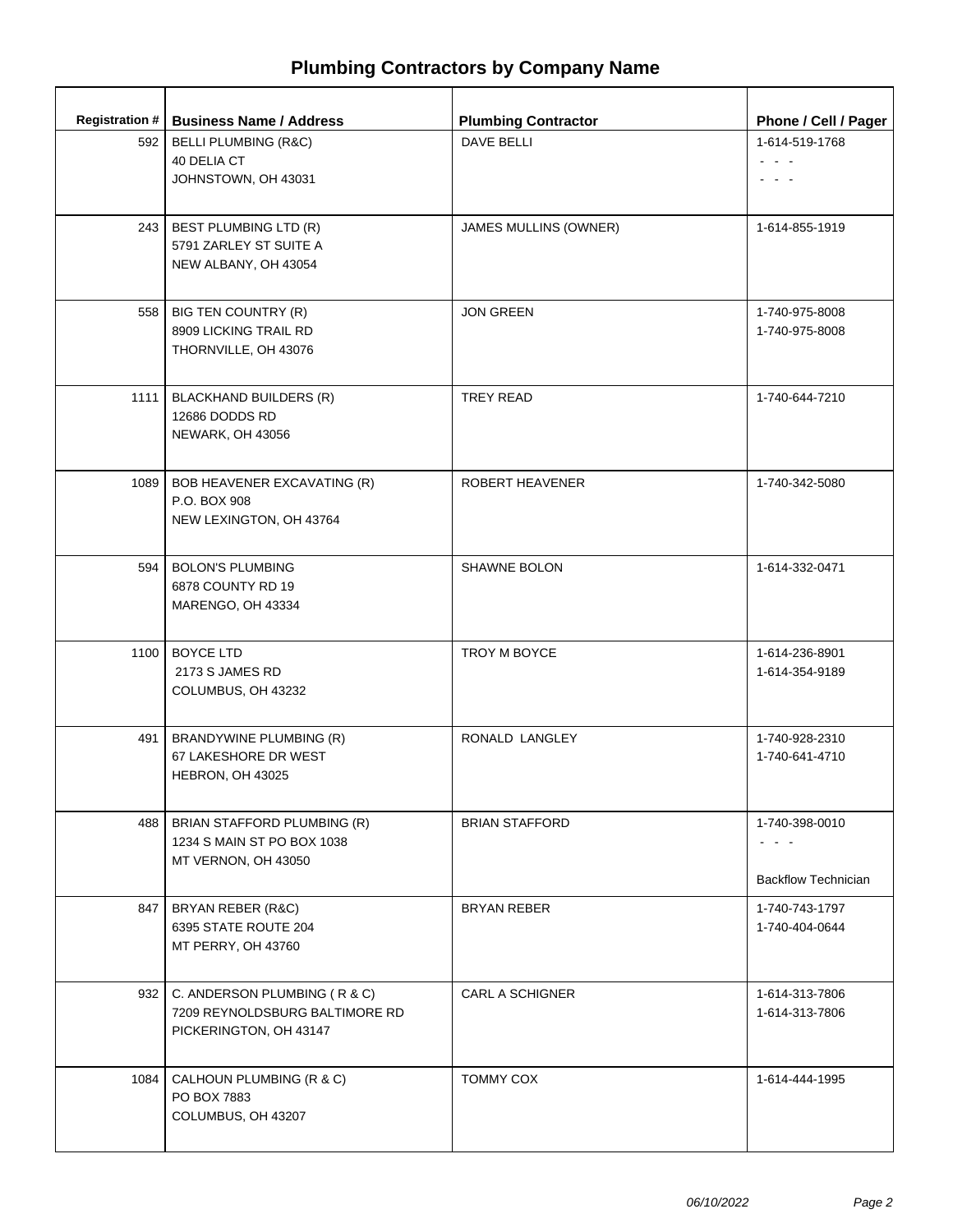| <b>Registration #</b> | <b>Business Name / Address</b>                                                                 | <b>Plumbing Contractor</b> | Phone / Cell / Pager                         |
|-----------------------|------------------------------------------------------------------------------------------------|----------------------------|----------------------------------------------|
| 592                   | <b>BELLI PLUMBING (R&amp;C)</b><br>40 DELIA CT<br>JOHNSTOWN, OH 43031                          | <b>DAVE BELLI</b>          | 1-614-519-1768<br>$\sim 100$ $\mu$           |
| 243                   | BEST PLUMBING LTD (R)<br>5791 ZARLEY ST SUITE A<br>NEW ALBANY, OH 43054                        | JAMES MULLINS (OWNER)      | 1-614-855-1919                               |
| 558                   | BIG TEN COUNTRY (R)<br>8909 LICKING TRAIL RD<br>THORNVILLE, OH 43076                           | <b>JON GREEN</b>           | 1-740-975-8008<br>1-740-975-8008             |
| 1111                  | <b>BLACKHAND BUILDERS (R)</b><br>12686 DODDS RD<br>NEWARK, OH 43056                            | <b>TREY READ</b>           | 1-740-644-7210                               |
| 1089                  | BOB HEAVENER EXCAVATING (R)<br>P.O. BOX 908<br>NEW LEXINGTON, OH 43764                         | ROBERT HEAVENER            | 1-740-342-5080                               |
| 594                   | <b>BOLON'S PLUMBING</b><br>6878 COUNTY RD 19<br>MARENGO, OH 43334                              | <b>SHAWNE BOLON</b>        | 1-614-332-0471                               |
| 1100                  | <b>BOYCE LTD</b><br>2173 S JAMES RD<br>COLUMBUS, OH 43232                                      | TROY M BOYCE               | 1-614-236-8901<br>1-614-354-9189             |
| 491                   | BRANDYWINE PLUMBING (R)<br>67 LAKESHORE DR WEST<br>HEBRON, OH 43025                            | RONALD LANGLEY             | 1-740-928-2310<br>1-740-641-4710             |
| 488                   | BRIAN STAFFORD PLUMBING (R)<br>1234 S MAIN ST PO BOX 1038<br>MT VERNON, OH 43050               | <b>BRIAN STAFFORD</b>      | 1-740-398-0010<br><b>Backflow Technician</b> |
| 847                   | BRYAN REBER (R&C)<br>6395 STATE ROUTE 204<br>MT PERRY, OH 43760                                | <b>BRYAN REBER</b>         | 1-740-743-1797<br>1-740-404-0644             |
|                       | 932   C. ANDERSON PLUMBING (R & C)<br>7209 REYNOLDSBURG BALTIMORE RD<br>PICKERINGTON, OH 43147 | <b>CARL A SCHIGNER</b>     | 1-614-313-7806<br>1-614-313-7806             |
| 1084                  | CALHOUN PLUMBING (R & C)<br>PO BOX 7883<br>COLUMBUS, OH 43207                                  | <b>TOMMY COX</b>           | 1-614-444-1995                               |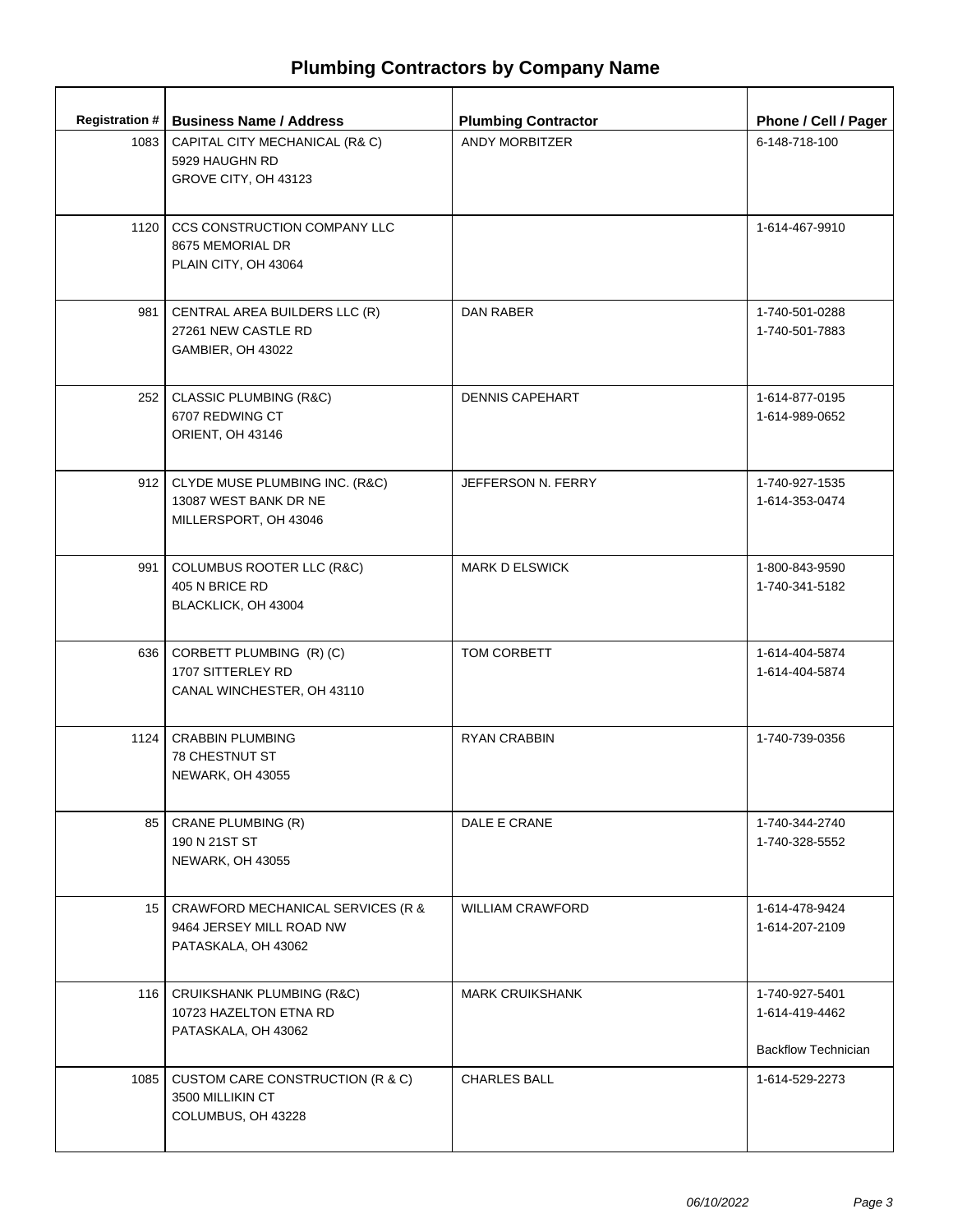|      | Registration #   Business Name / Address                                                  | <b>Plumbing Contractor</b> | Phone / Cell / Pager                                           |
|------|-------------------------------------------------------------------------------------------|----------------------------|----------------------------------------------------------------|
| 1083 | CAPITAL CITY MECHANICAL (R& C)<br>5929 HAUGHN RD<br>GROVE CITY, OH 43123                  | ANDY MORBITZER             | 6-148-718-100                                                  |
| 1120 | CCS CONSTRUCTION COMPANY LLC<br>8675 MEMORIAL DR<br>PLAIN CITY, OH 43064                  |                            | 1-614-467-9910                                                 |
| 981  | CENTRAL AREA BUILDERS LLC (R)<br>27261 NEW CASTLE RD<br>GAMBIER, OH 43022                 | <b>DAN RABER</b>           | 1-740-501-0288<br>1-740-501-7883                               |
|      | 252   CLASSIC PLUMBING (R&C)<br>6707 REDWING CT<br>ORIENT, OH 43146                       | <b>DENNIS CAPEHART</b>     | 1-614-877-0195<br>1-614-989-0652                               |
|      | 912   CLYDE MUSE PLUMBING INC. (R&C)<br>13087 WEST BANK DR NE<br>MILLERSPORT, OH 43046    | JEFFERSON N. FERRY         | 1-740-927-1535<br>1-614-353-0474                               |
| 991  | COLUMBUS ROOTER LLC (R&C)<br>405 N BRICE RD<br>BLACKLICK, OH 43004                        | <b>MARK D ELSWICK</b>      | 1-800-843-9590<br>1-740-341-5182                               |
|      | 636   CORBETT PLUMBING (R) (C)<br>1707 SITTERLEY RD<br>CANAL WINCHESTER, OH 43110         | TOM CORBETT                | 1-614-404-5874<br>1-614-404-5874                               |
|      | 1124   CRABBIN PLUMBING<br><b>78 CHESTNUT ST</b><br>NEWARK, OH 43055                      | <b>RYAN CRABBIN</b>        | 1-740-739-0356                                                 |
|      | 85   CRANE PLUMBING (R)<br>190 N 21ST ST<br><b>NEWARK, OH 43055</b>                       | DALE E CRANE               | 1-740-344-2740<br>1-740-328-5552                               |
|      | 15   CRAWFORD MECHANICAL SERVICES (R &<br>9464 JERSEY MILL ROAD NW<br>PATASKALA, OH 43062 | <b>WILLIAM CRAWFORD</b>    | 1-614-478-9424<br>1-614-207-2109                               |
|      | 116   CRUIKSHANK PLUMBING (R&C)<br>10723 HAZELTON ETNA RD<br>PATASKALA, OH 43062          | <b>MARK CRUIKSHANK</b>     | 1-740-927-5401<br>1-614-419-4462<br><b>Backflow Technician</b> |
| 1085 | CUSTOM CARE CONSTRUCTION (R & C)<br>3500 MILLIKIN CT<br>COLUMBUS, OH 43228                | <b>CHARLES BALL</b>        | 1-614-529-2273                                                 |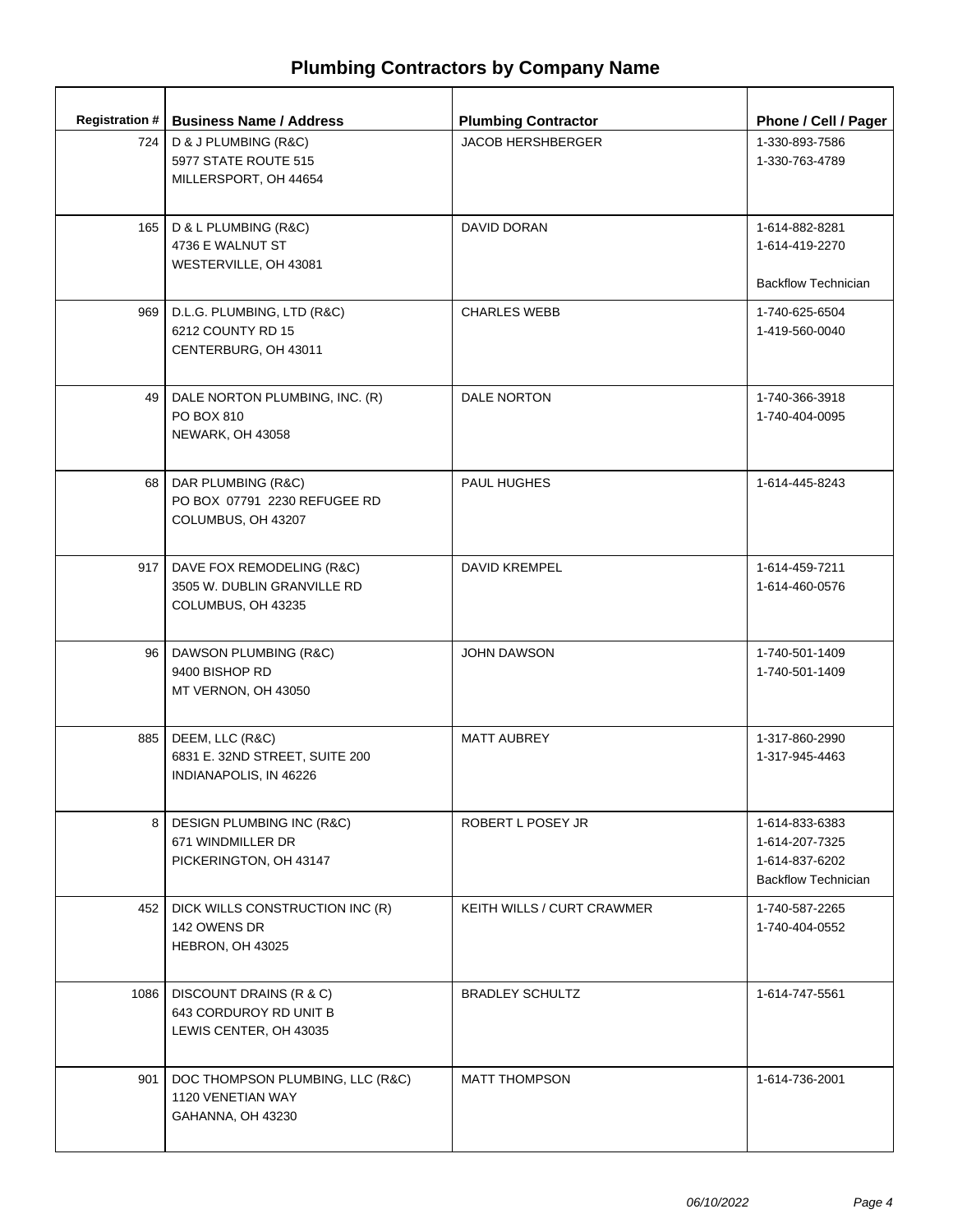| <b>Registration #</b> | <b>Business Name / Address</b>                                                 | <b>Plumbing Contractor</b>        | Phone / Cell / Pager                                                             |
|-----------------------|--------------------------------------------------------------------------------|-----------------------------------|----------------------------------------------------------------------------------|
| 724 I                 | D & J PLUMBING (R&C)<br>5977 STATE ROUTE 515<br>MILLERSPORT, OH 44654          | <b>JACOB HERSHBERGER</b>          | 1-330-893-7586<br>1-330-763-4789                                                 |
| 165                   | D & L PLUMBING (R&C)<br>4736 E WALNUT ST<br>WESTERVILLE, OH 43081              | DAVID DORAN                       | 1-614-882-8281<br>1-614-419-2270<br><b>Backflow Technician</b>                   |
| 969                   | D.L.G. PLUMBING, LTD (R&C)<br>6212 COUNTY RD 15<br>CENTERBURG, OH 43011        | <b>CHARLES WEBB</b>               | 1-740-625-6504<br>1-419-560-0040                                                 |
| 49 I                  | DALE NORTON PLUMBING, INC. (R)<br>PO BOX 810<br>NEWARK, OH 43058               | DALE NORTON                       | 1-740-366-3918<br>1-740-404-0095                                                 |
| 68                    | DAR PLUMBING (R&C)<br>PO BOX 07791 2230 REFUGEE RD<br>COLUMBUS, OH 43207       | PAUL HUGHES                       | 1-614-445-8243                                                                   |
| 917                   | DAVE FOX REMODELING (R&C)<br>3505 W. DUBLIN GRANVILLE RD<br>COLUMBUS, OH 43235 | <b>DAVID KREMPEL</b>              | 1-614-459-7211<br>1-614-460-0576                                                 |
|                       | 96   DAWSON PLUMBING (R&C)<br>9400 BISHOP RD<br>MT VERNON, OH 43050            | <b>JOHN DAWSON</b>                | 1-740-501-1409<br>1-740-501-1409                                                 |
| 885                   | DEEM, LLC (R&C)<br>6831 E. 32ND STREET, SUITE 200<br>INDIANAPOLIS, IN 46226    | <b>MATT AUBREY</b>                | 1-317-860-2990<br>1-317-945-4463                                                 |
| 8                     | DESIGN PLUMBING INC (R&C)<br>671 WINDMILLER DR<br>PICKERINGTON, OH 43147       | ROBERT L POSEY JR                 | 1-614-833-6383<br>1-614-207-7325<br>1-614-837-6202<br><b>Backflow Technician</b> |
| 452                   | DICK WILLS CONSTRUCTION INC (R)<br>142 OWENS DR<br>HEBRON, OH 43025            | <b>KEITH WILLS / CURT CRAWMER</b> | 1-740-587-2265<br>1-740-404-0552                                                 |
| 1086                  | DISCOUNT DRAINS (R & C)<br>643 CORDUROY RD UNIT B<br>LEWIS CENTER, OH 43035    | <b>BRADLEY SCHULTZ</b>            | 1-614-747-5561                                                                   |
| 901                   | DOC THOMPSON PLUMBING, LLC (R&C)<br>1120 VENETIAN WAY<br>GAHANNA, OH 43230     | <b>MATT THOMPSON</b>              | 1-614-736-2001                                                                   |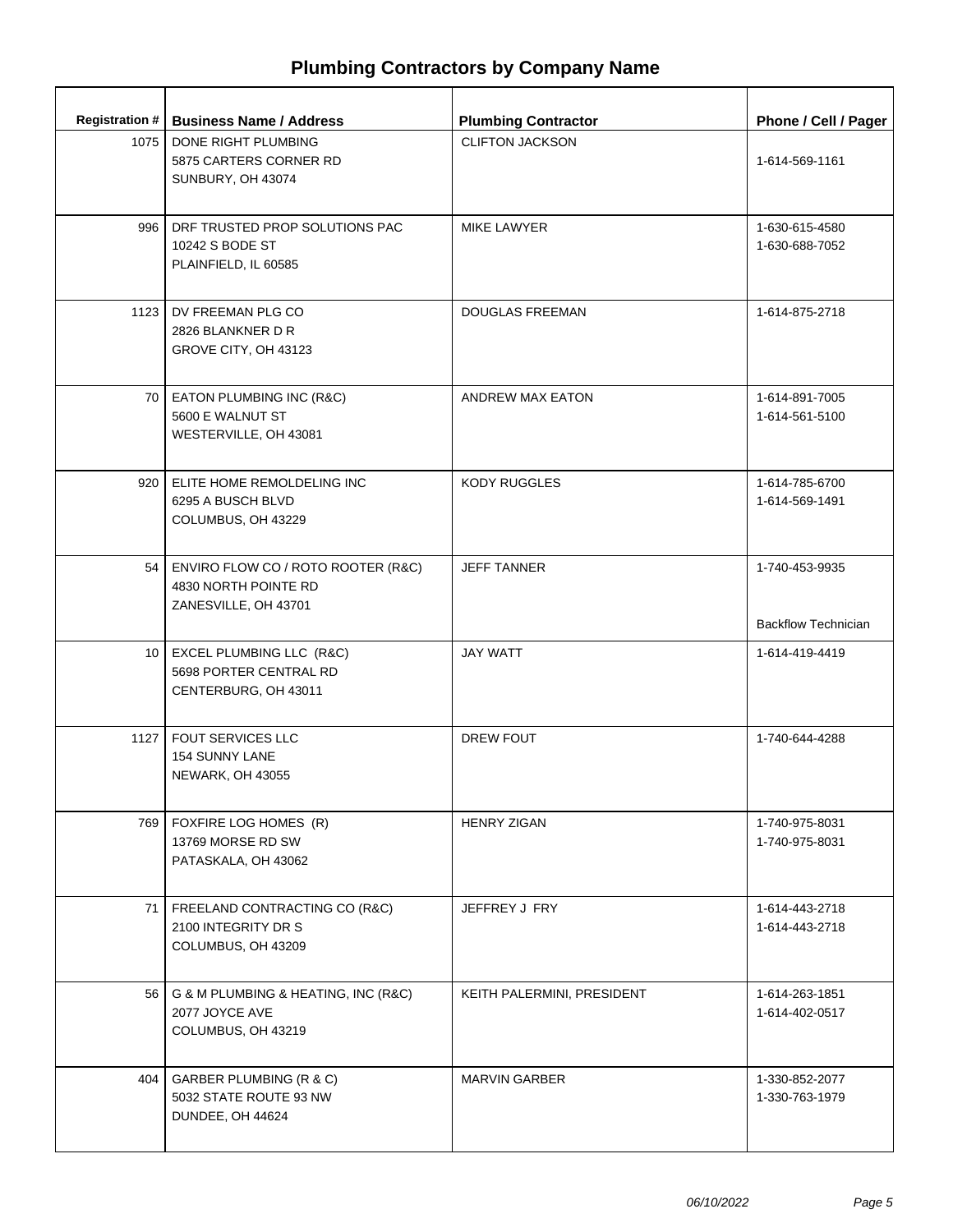|      | Registration #   Business Name / Address                                                | <b>Plumbing Contractor</b> | Phone / Cell / Pager                         |
|------|-----------------------------------------------------------------------------------------|----------------------------|----------------------------------------------|
| 1075 | DONE RIGHT PLUMBING<br>5875 CARTERS CORNER RD<br>SUNBURY, OH 43074                      | <b>CLIFTON JACKSON</b>     | 1-614-569-1161                               |
| 996  | DRF TRUSTED PROP SOLUTIONS PAC<br>10242 S BODE ST<br>PLAINFIELD, IL 60585               | <b>MIKE LAWYER</b>         | 1-630-615-4580<br>1-630-688-7052             |
| 1123 | DV FREEMAN PLG CO<br>2826 BLANKNER D R<br>GROVE CITY, OH 43123                          | <b>DOUGLAS FREEMAN</b>     | 1-614-875-2718                               |
|      | 70 EATON PLUMBING INC (R&C)<br>5600 E WALNUT ST<br>WESTERVILLE, OH 43081                | ANDREW MAX EATON           | 1-614-891-7005<br>1-614-561-5100             |
|      | 920   ELITE HOME REMOLDELING INC<br>6295 A BUSCH BLVD<br>COLUMBUS, OH 43229             | <b>KODY RUGGLES</b>        | 1-614-785-6700<br>1-614-569-1491             |
|      | 54   ENVIRO FLOW CO / ROTO ROOTER (R&C)<br>4830 NORTH POINTE RD<br>ZANESVILLE, OH 43701 | <b>JEFF TANNER</b>         | 1-740-453-9935<br><b>Backflow Technician</b> |
|      | 10   EXCEL PLUMBING LLC (R&C)<br>5698 PORTER CENTRAL RD<br>CENTERBURG, OH 43011         | <b>JAY WATT</b>            | 1-614-419-4419                               |
|      | 1127   FOUT SERVICES LLC<br><b>154 SUNNY LANE</b><br>NEWARK, OH 43055                   | <b>DREW FOUT</b>           | 1-740-644-4288                               |
|      | 769   FOXFIRE LOG HOMES (R)<br>13769 MORSE RD SW<br>PATASKALA, OH 43062                 | <b>HENRY ZIGAN</b>         | 1-740-975-8031<br>1-740-975-8031             |
| 71 I | FREELAND CONTRACTING CO (R&C)<br>2100 INTEGRITY DR S<br>COLUMBUS, OH 43209              | JEFFREY J FRY              | 1-614-443-2718<br>1-614-443-2718             |
| 56 l | G & M PLUMBING & HEATING, INC (R&C)<br>2077 JOYCE AVE<br>COLUMBUS, OH 43219             | KEITH PALERMINI, PRESIDENT | 1-614-263-1851<br>1-614-402-0517             |
| 404  | GARBER PLUMBING (R & C)<br>5032 STATE ROUTE 93 NW<br>DUNDEE, OH 44624                   | <b>MARVIN GARBER</b>       | 1-330-852-2077<br>1-330-763-1979             |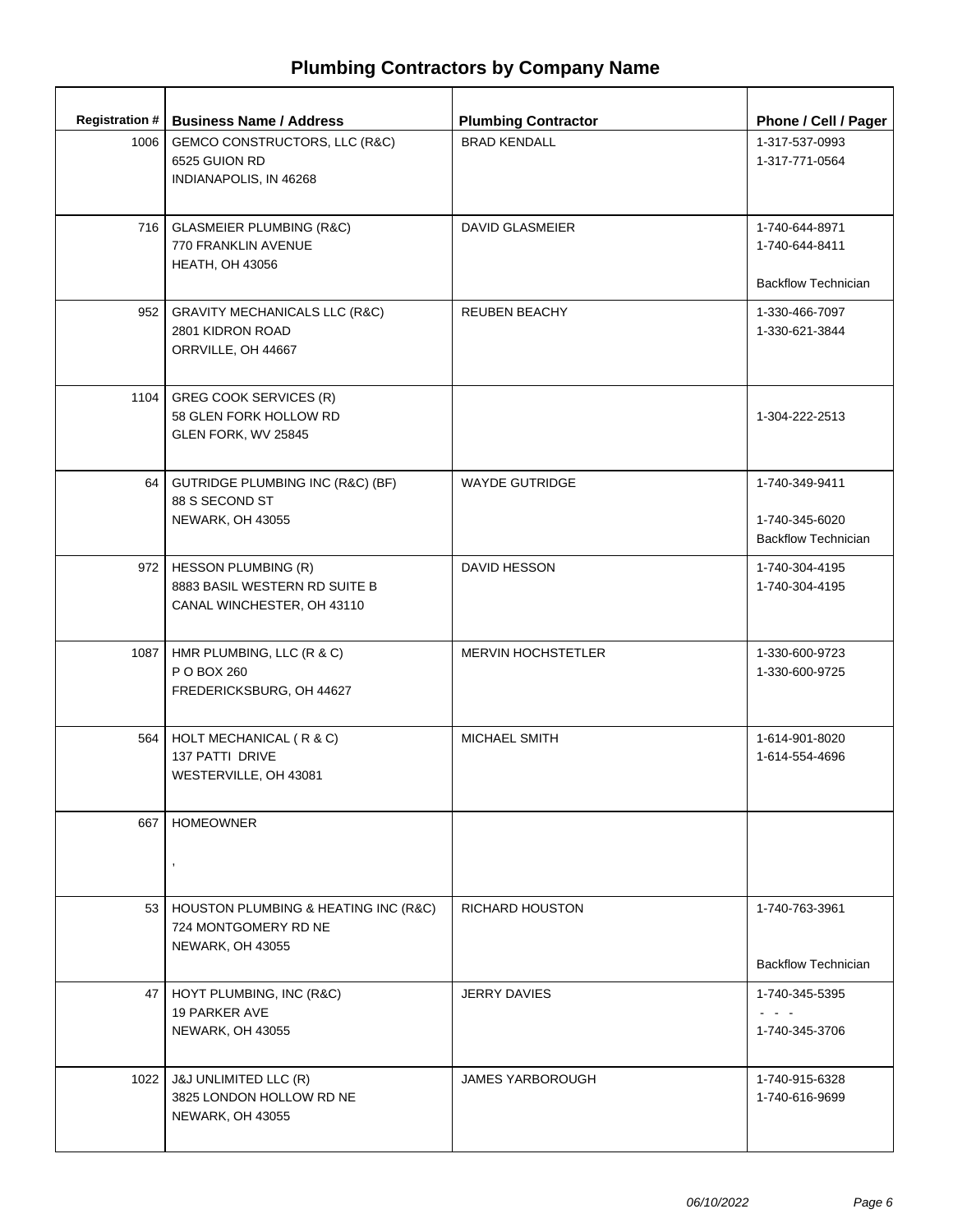| Registration # | <b>Business Name / Address</b>                                                           | <b>Plumbing Contractor</b> | Phone / Cell / Pager                                                                          |
|----------------|------------------------------------------------------------------------------------------|----------------------------|-----------------------------------------------------------------------------------------------|
| 1006           | GEMCO CONSTRUCTORS, LLC (R&C)<br>6525 GUION RD<br>INDIANAPOLIS, IN 46268                 | <b>BRAD KENDALL</b>        | 1-317-537-0993<br>1-317-771-0564                                                              |
|                | 716   GLASMEIER PLUMBING (R&C)<br>770 FRANKLIN AVENUE<br><b>HEATH, OH 43056</b>          | <b>DAVID GLASMEIER</b>     | 1-740-644-8971<br>1-740-644-8411<br><b>Backflow Technician</b>                                |
| 952            | <b>GRAVITY MECHANICALS LLC (R&amp;C)</b><br>2801 KIDRON ROAD<br>ORRVILLE, OH 44667       | <b>REUBEN BEACHY</b>       | 1-330-466-7097<br>1-330-621-3844                                                              |
| 1104           | GREG COOK SERVICES (R)<br>58 GLEN FORK HOLLOW RD<br>GLEN FORK, WV 25845                  |                            | 1-304-222-2513                                                                                |
| 64 l           | GUTRIDGE PLUMBING INC (R&C) (BF)<br>88 S SECOND ST<br>NEWARK, OH 43055                   | <b>WAYDE GUTRIDGE</b>      | 1-740-349-9411<br>1-740-345-6020<br><b>Backflow Technician</b>                                |
|                | 972   HESSON PLUMBING (R)<br>8883 BASIL WESTERN RD SUITE B<br>CANAL WINCHESTER, OH 43110 | <b>DAVID HESSON</b>        | 1-740-304-4195<br>1-740-304-4195                                                              |
|                | 1087   HMR PLUMBING, LLC (R & C)<br>P O BOX 260<br>FREDERICKSBURG, OH 44627              | <b>MERVIN HOCHSTETLER</b>  | 1-330-600-9723<br>1-330-600-9725                                                              |
|                | 564   HOLT MECHANICAL (R & C)<br>137 PATTI DRIVE<br>WESTERVILLE, OH 43081                | MICHAEL SMITH              | 1-614-901-8020<br>1-614-554-4696                                                              |
| 667            | <b>HOMEOWNER</b>                                                                         |                            |                                                                                               |
|                | 53   HOUSTON PLUMBING & HEATING INC (R&C)<br>724 MONTGOMERY RD NE<br>NEWARK, OH 43055    | <b>RICHARD HOUSTON</b>     | 1-740-763-3961<br><b>Backflow Technician</b>                                                  |
|                | 47   HOYT PLUMBING, INC (R&C)<br>19 PARKER AVE<br>NEWARK, OH 43055                       | <b>JERRY DAVIES</b>        | 1-740-345-5395<br>$\omega_{\rm{c}}$ , $\omega_{\rm{c}}$ , $\omega_{\rm{c}}$<br>1-740-345-3706 |
|                | 1022 J&J UNLIMITED LLC (R)<br>3825 LONDON HOLLOW RD NE<br>NEWARK, OH 43055               | <b>JAMES YARBOROUGH</b>    | 1-740-915-6328<br>1-740-616-9699                                                              |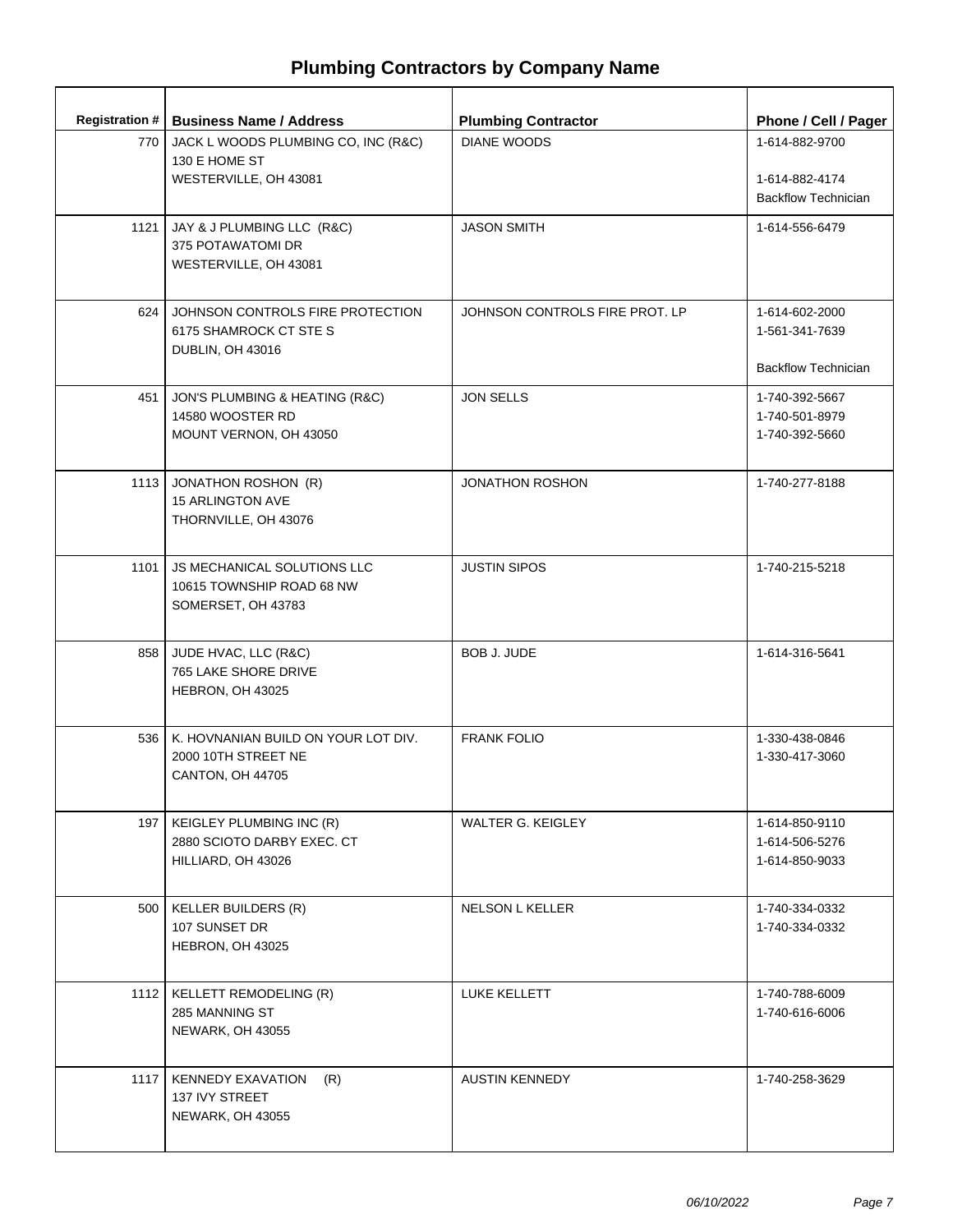| <b>Registration #</b> | <b>Business Name / Address</b>                                                     | <b>Plumbing Contractor</b>     | Phone / Cell / Pager                                           |
|-----------------------|------------------------------------------------------------------------------------|--------------------------------|----------------------------------------------------------------|
| 770 l                 | JACK L WOODS PLUMBING CO, INC (R&C)<br>130 E HOME ST<br>WESTERVILLE, OH 43081      | <b>DIANE WOODS</b>             | 1-614-882-9700<br>1-614-882-4174<br><b>Backflow Technician</b> |
| 1121                  | JAY & J PLUMBING LLC (R&C)<br>375 POTAWATOMI DR<br>WESTERVILLE, OH 43081           | <b>JASON SMITH</b>             | 1-614-556-6479                                                 |
| 624                   | JOHNSON CONTROLS FIRE PROTECTION<br>6175 SHAMROCK CT STE S<br>DUBLIN, OH 43016     | JOHNSON CONTROLS FIRE PROT. LP | 1-614-602-2000<br>1-561-341-7639<br><b>Backflow Technician</b> |
| 451                   | JON'S PLUMBING & HEATING (R&C)<br>14580 WOOSTER RD<br>MOUNT VERNON, OH 43050       | <b>JON SELLS</b>               | 1-740-392-5667<br>1-740-501-8979<br>1-740-392-5660             |
| 1113                  | JONATHON ROSHON (R)<br><b>15 ARLINGTON AVE</b><br>THORNVILLE, OH 43076             | <b>JONATHON ROSHON</b>         | 1-740-277-8188                                                 |
| 1101                  | JS MECHANICAL SOLUTIONS LLC<br>10615 TOWNSHIP ROAD 68 NW<br>SOMERSET, OH 43783     | <b>JUSTIN SIPOS</b>            | 1-740-215-5218                                                 |
| 858                   | JUDE HVAC, LLC (R&C)<br>765 LAKE SHORE DRIVE<br>HEBRON, OH 43025                   | <b>BOB J. JUDE</b>             | 1-614-316-5641                                                 |
| 536                   | K. HOVNANIAN BUILD ON YOUR LOT DIV.<br>2000 10TH STREET NE<br>CANTON, OH 44705     | <b>FRANK FOLIO</b>             | 1-330-438-0846<br>1-330-417-3060                               |
|                       | 197   KEIGLEY PLUMBING INC (R)<br>2880 SCIOTO DARBY EXEC. CT<br>HILLIARD, OH 43026 | WALTER G. KEIGLEY              | 1-614-850-9110<br>1-614-506-5276<br>1-614-850-9033             |
| 500                   | <b>KELLER BUILDERS (R)</b><br>107 SUNSET DR<br>HEBRON, OH 43025                    | <b>NELSON L KELLER</b>         | 1-740-334-0332<br>1-740-334-0332                               |
| 1112                  | KELLETT REMODELING (R)<br>285 MANNING ST<br><b>NEWARK, OH 43055</b>                | LUKE KELLETT                   | 1-740-788-6009<br>1-740-616-6006                               |
| 1117                  | <b>KENNEDY EXAVATION</b><br>(R)<br>137 IVY STREET<br><b>NEWARK, OH 43055</b>       | <b>AUSTIN KENNEDY</b>          | 1-740-258-3629                                                 |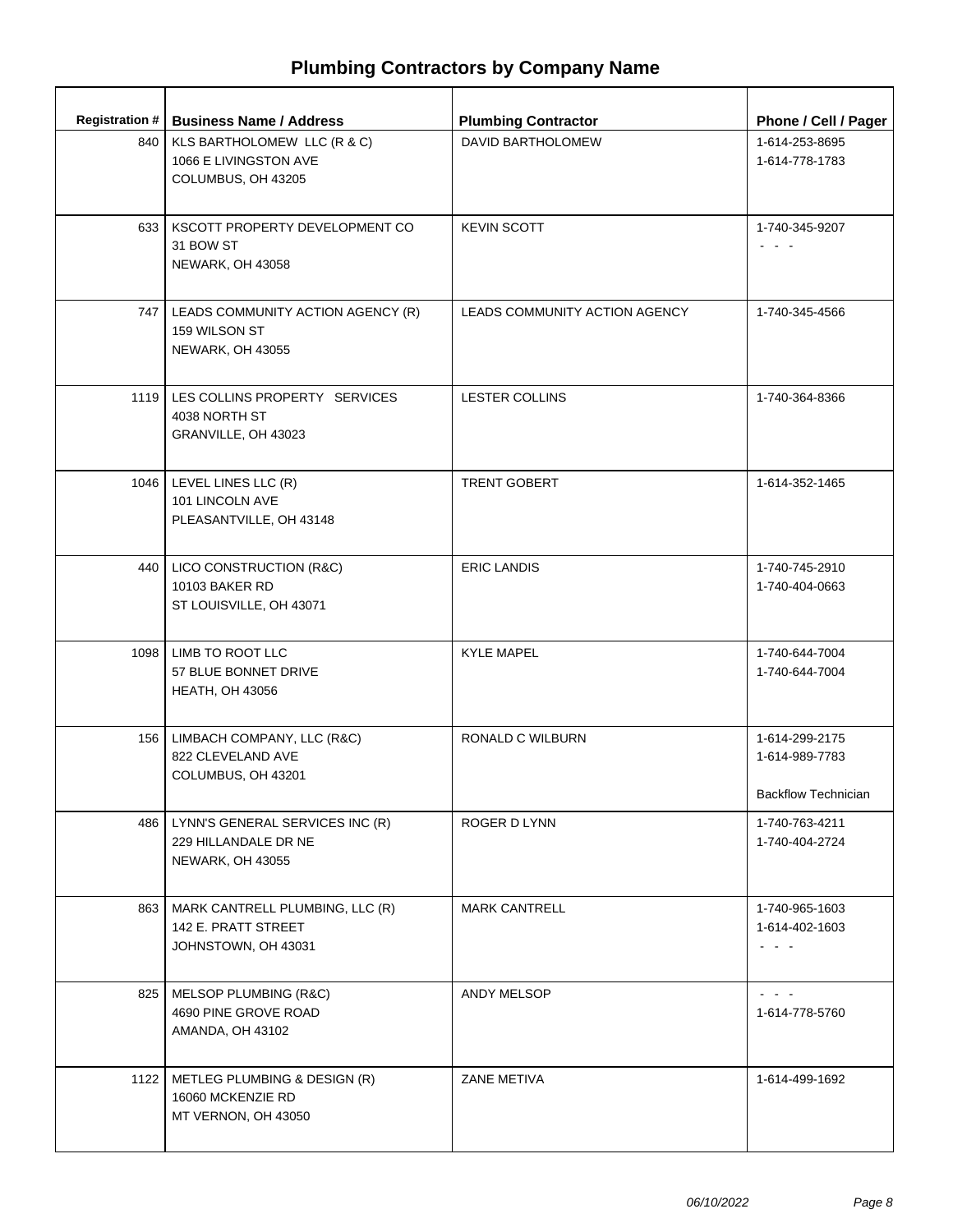| <b>Registration #</b> | <b>Business Name / Address</b>                                                | <b>Plumbing Contractor</b>    | Phone / Cell / Pager                                                              |
|-----------------------|-------------------------------------------------------------------------------|-------------------------------|-----------------------------------------------------------------------------------|
| 840                   | KLS BARTHOLOMEW LLC (R & C)<br>1066 E LIVINGSTON AVE<br>COLUMBUS, OH 43205    | DAVID BARTHOLOMEW             | 1-614-253-8695<br>1-614-778-1783                                                  |
|                       | 633   KSCOTT PROPERTY DEVELOPMENT CO<br>31 BOW ST<br>NEWARK, OH 43058         | <b>KEVIN SCOTT</b>            | 1-740-345-9207<br>$\omega_{\rm{max}}$ and $\omega_{\rm{max}}$                     |
| 747                   | LEADS COMMUNITY ACTION AGENCY (R)<br>159 WILSON ST<br><b>NEWARK, OH 43055</b> | LEADS COMMUNITY ACTION AGENCY | 1-740-345-4566                                                                    |
| 1119                  | LES COLLINS PROPERTY SERVICES<br>4038 NORTH ST<br>GRANVILLE, OH 43023         | <b>LESTER COLLINS</b>         | 1-740-364-8366                                                                    |
| 1046                  | LEVEL LINES LLC (R)<br>101 LINCOLN AVE<br>PLEASANTVILLE, OH 43148             | <b>TRENT GOBERT</b>           | 1-614-352-1465                                                                    |
| 440                   | LICO CONSTRUCTION (R&C)<br>10103 BAKER RD<br>ST LOUISVILLE, OH 43071          | <b>ERIC LANDIS</b>            | 1-740-745-2910<br>1-740-404-0663                                                  |
| 1098                  | LIMB TO ROOT LLC<br>57 BLUE BONNET DRIVE<br><b>HEATH, OH 43056</b>            | <b>KYLE MAPEL</b>             | 1-740-644-7004<br>1-740-644-7004                                                  |
| 156                   | LIMBACH COMPANY, LLC (R&C)<br>822 CLEVELAND AVE<br>COLUMBUS, OH 43201         | RONALD C WILBURN              | 1-614-299-2175<br>1-614-989-7783<br><b>Backflow Technician</b>                    |
| 486                   | LYNN'S GENERAL SERVICES INC (R)<br>229 HILLANDALE DR NE<br>NEWARK, OH 43055   | ROGER D LYNN                  | 1-740-763-4211<br>1-740-404-2724                                                  |
| 863                   | MARK CANTRELL PLUMBING, LLC (R)<br>142 E. PRATT STREET<br>JOHNSTOWN, OH 43031 | <b>MARK CANTRELL</b>          | 1-740-965-1603<br>1-614-402-1603<br>$\omega_{\rm{max}}$ , $\omega_{\rm{max}}$     |
| 825                   | MELSOP PLUMBING (R&C)<br>4690 PINE GROVE ROAD<br>AMANDA, OH 43102             | ANDY MELSOP                   | $\omega_{\rm{eff}}$ , $\omega_{\rm{eff}}$ , $\omega_{\rm{eff}}$<br>1-614-778-5760 |
| 1122                  | METLEG PLUMBING & DESIGN (R)<br>16060 MCKENZIE RD<br>MT VERNON, OH 43050      | ZANE METIVA                   | 1-614-499-1692                                                                    |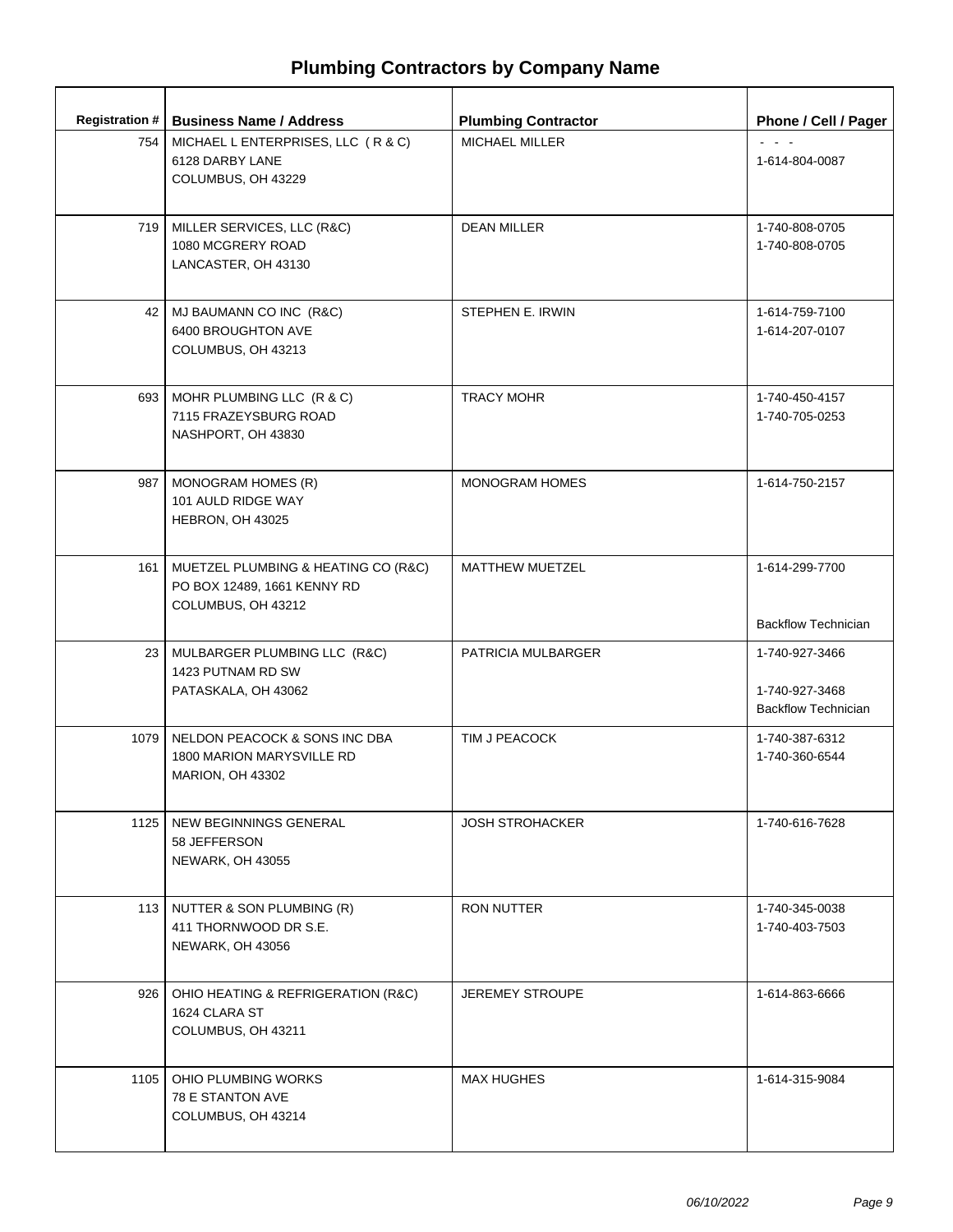| <b>Registration #</b> | <b>Business Name / Address</b>                                                           | <b>Plumbing Contractor</b> | Phone / Cell / Pager                                           |
|-----------------------|------------------------------------------------------------------------------------------|----------------------------|----------------------------------------------------------------|
| 754                   | MICHAEL L ENTERPRISES, LLC (R & C)<br>6128 DARBY LANE<br>COLUMBUS, OH 43229              | MICHAEL MILLER             | $\omega_{\rm{max}}$ and $\omega_{\rm{max}}$<br>1-614-804-0087  |
|                       | 719   MILLER SERVICES, LLC (R&C)<br>1080 MCGRERY ROAD<br>LANCASTER, OH 43130             | <b>DEAN MILLER</b>         | 1-740-808-0705<br>1-740-808-0705                               |
| 42 l                  | MJ BAUMANN CO INC (R&C)<br>6400 BROUGHTON AVE<br>COLUMBUS, OH 43213                      | STEPHEN E. IRWIN           | 1-614-759-7100<br>1-614-207-0107                               |
|                       | 693   MOHR PLUMBING LLC (R & C)<br>7115 FRAZEYSBURG ROAD<br>NASHPORT, OH 43830           | <b>TRACY MOHR</b>          | 1-740-450-4157<br>1-740-705-0253                               |
| 987                   | MONOGRAM HOMES (R)<br>101 AULD RIDGE WAY<br>HEBRON, OH 43025                             | <b>MONOGRAM HOMES</b>      | 1-614-750-2157                                                 |
| 161                   | MUETZEL PLUMBING & HEATING CO (R&C)<br>PO BOX 12489, 1661 KENNY RD<br>COLUMBUS, OH 43212 | <b>MATTHEW MUETZEL</b>     | 1-614-299-7700<br><b>Backflow Technician</b>                   |
|                       | 23   MULBARGER PLUMBING LLC (R&C)<br>1423 PUTNAM RD SW<br>PATASKALA, OH 43062            | PATRICIA MULBARGER         | 1-740-927-3466<br>1-740-927-3468<br><b>Backflow Technician</b> |
| 1079                  | NELDON PEACOCK & SONS INC DBA<br>1800 MARION MARYSVILLE RD<br><b>MARION, OH 43302</b>    | TIM J PEACOCK              | 1-740-387-6312<br>1-740-360-6544                               |
| 1125                  | NEW BEGINNINGS GENERAL<br>58 JEFFERSON<br><b>NEWARK, OH 43055</b>                        | <b>JOSH STROHACKER</b>     | 1-740-616-7628                                                 |
|                       | 113   NUTTER & SON PLUMBING (R)<br>411 THORNWOOD DR S.E.<br>NEWARK, OH 43056             | RON NUTTER                 | 1-740-345-0038<br>1-740-403-7503                               |
| 926                   | OHIO HEATING & REFRIGERATION (R&C)<br>1624 CLARA ST<br>COLUMBUS, OH 43211                | <b>JEREMEY STROUPE</b>     | 1-614-863-6666                                                 |
| 1105                  | OHIO PLUMBING WORKS<br>78 E STANTON AVE<br>COLUMBUS, OH 43214                            | <b>MAX HUGHES</b>          | 1-614-315-9084                                                 |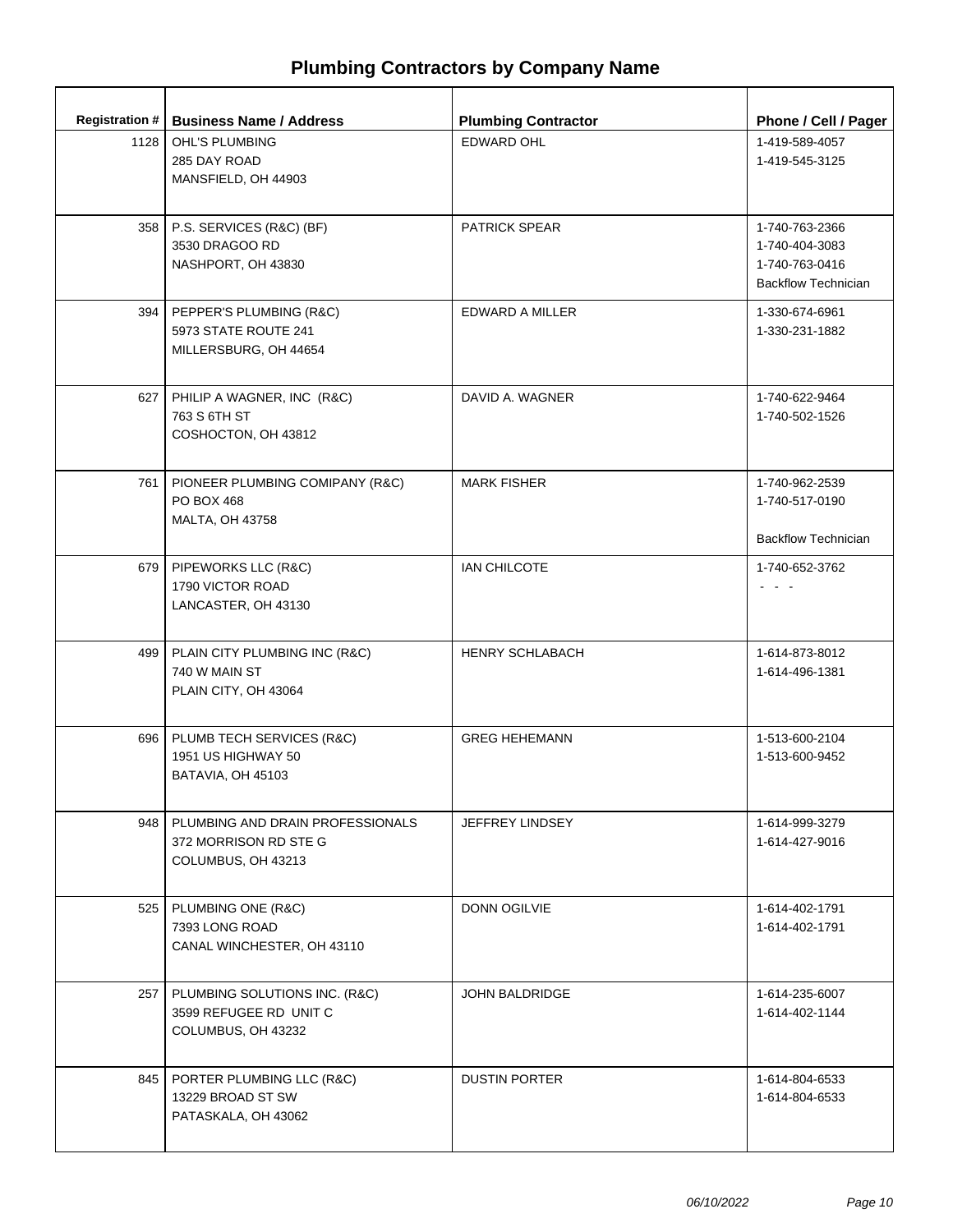| <b>Registration #</b> | <b>Business Name / Address</b>                                                        | <b>Plumbing Contractor</b> | Phone / Cell / Pager                                                             |
|-----------------------|---------------------------------------------------------------------------------------|----------------------------|----------------------------------------------------------------------------------|
|                       | 1128   OHL'S PLUMBING<br>285 DAY ROAD<br>MANSFIELD, OH 44903                          | <b>EDWARD OHL</b>          | 1-419-589-4057<br>1-419-545-3125                                                 |
|                       | 358   P.S. SERVICES (R&C) (BF)<br>3530 DRAGOO RD<br>NASHPORT, OH 43830                | <b>PATRICK SPEAR</b>       | 1-740-763-2366<br>1-740-404-3083<br>1-740-763-0416<br><b>Backflow Technician</b> |
|                       | 394   PEPPER'S PLUMBING (R&C)<br>5973 STATE ROUTE 241<br>MILLERSBURG, OH 44654        | EDWARD A MILLER            | 1-330-674-6961<br>1-330-231-1882                                                 |
| 627                   | PHILIP A WAGNER, INC (R&C)<br>763 S 6TH ST<br>COSHOCTON, OH 43812                     | DAVID A. WAGNER            | 1-740-622-9464<br>1-740-502-1526                                                 |
| 761 I                 | PIONEER PLUMBING COMIPANY (R&C)<br>PO BOX 468<br>MALTA, OH 43758                      | <b>MARK FISHER</b>         | 1-740-962-2539<br>1-740-517-0190<br><b>Backflow Technician</b>                   |
|                       | 679   PIPEWORKS LLC (R&C)<br>1790 VICTOR ROAD<br>LANCASTER, OH 43130                  | IAN CHILCOTE               | 1-740-652-3762                                                                   |
|                       | 499   PLAIN CITY PLUMBING INC (R&C)<br>740 W MAIN ST<br>PLAIN CITY, OH 43064          | <b>HENRY SCHLABACH</b>     | 1-614-873-8012<br>1-614-496-1381                                                 |
| 696                   | PLUMB TECH SERVICES (R&C)<br>1951 US HIGHWAY 50<br>BATAVIA, OH 45103                  | <b>GREG HEHEMANN</b>       | 1-513-600-2104<br>1-513-600-9452                                                 |
|                       | 948   PLUMBING AND DRAIN PROFESSIONALS<br>372 MORRISON RD STE G<br>COLUMBUS, OH 43213 | JEFFREY LINDSEY            | 1-614-999-3279<br>1-614-427-9016                                                 |
|                       | 525   PLUMBING ONE (R&C)<br>7393 LONG ROAD<br>CANAL WINCHESTER, OH 43110              | <b>DONN OGILVIE</b>        | 1-614-402-1791<br>1-614-402-1791                                                 |
|                       | 257   PLUMBING SOLUTIONS INC. (R&C)<br>3599 REFUGEE RD UNIT C<br>COLUMBUS, OH 43232   | <b>JOHN BALDRIDGE</b>      | 1-614-235-6007<br>1-614-402-1144                                                 |
| 845                   | PORTER PLUMBING LLC (R&C)<br>13229 BROAD ST SW<br>PATASKALA, OH 43062                 | <b>DUSTIN PORTER</b>       | 1-614-804-6533<br>1-614-804-6533                                                 |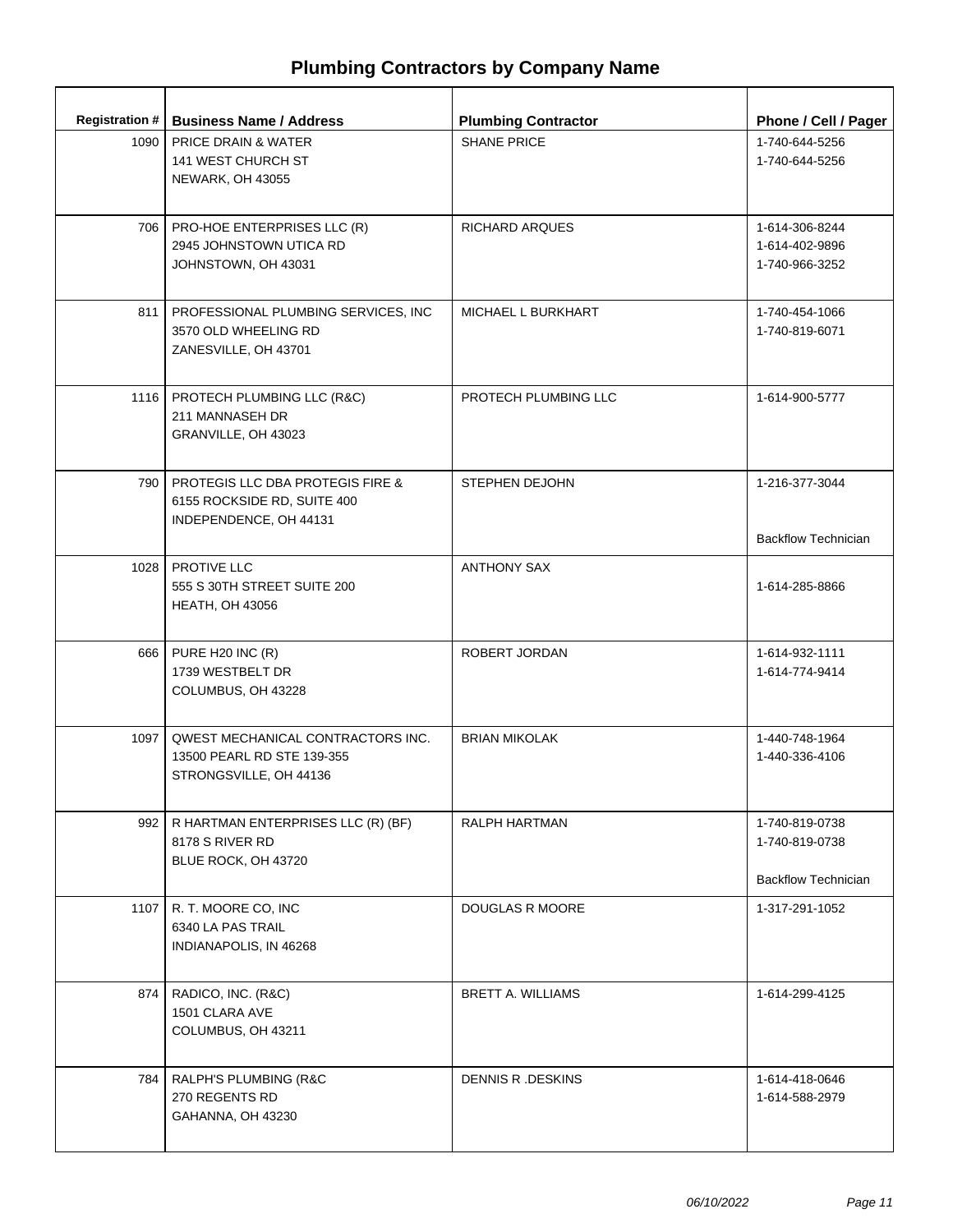| <b>Registration #</b> | <b>Business Name / Address</b>                                                                       | <b>Plumbing Contractor</b> | Phone / Cell / Pager                                           |
|-----------------------|------------------------------------------------------------------------------------------------------|----------------------------|----------------------------------------------------------------|
| 1090                  | PRICE DRAIN & WATER<br>141 WEST CHURCH ST<br><b>NEWARK, OH 43055</b>                                 | <b>SHANE PRICE</b>         | 1-740-644-5256<br>1-740-644-5256                               |
|                       | 706   PRO-HOE ENTERPRISES LLC (R)<br>2945 JOHNSTOWN UTICA RD<br>JOHNSTOWN, OH 43031                  | RICHARD ARQUES             | 1-614-306-8244<br>1-614-402-9896<br>1-740-966-3252             |
| 811                   | PROFESSIONAL PLUMBING SERVICES, INC<br>3570 OLD WHEELING RD<br>ZANESVILLE, OH 43701                  | MICHAEL L BURKHART         | 1-740-454-1066<br>1-740-819-6071                               |
| 1116                  | PROTECH PLUMBING LLC (R&C)<br>211 MANNASEH DR<br>GRANVILLE, OH 43023                                 | PROTECH PLUMBING LLC       | 1-614-900-5777                                                 |
| 790 L                 | <b>PROTEGIS LLC DBA PROTEGIS FIRE &amp;</b><br>6155 ROCKSIDE RD, SUITE 400<br>INDEPENDENCE, OH 44131 | <b>STEPHEN DEJOHN</b>      | 1-216-377-3044<br><b>Backflow Technician</b>                   |
|                       | 1028   PROTIVE LLC<br>555 S 30TH STREET SUITE 200<br><b>HEATH, OH 43056</b>                          | <b>ANTHONY SAX</b>         | 1-614-285-8866                                                 |
|                       | 666   PURE H20 INC (R)<br>1739 WESTBELT DR<br>COLUMBUS, OH 43228                                     | ROBERT JORDAN              | 1-614-932-1111<br>1-614-774-9414                               |
| 1097                  | QWEST MECHANICAL CONTRACTORS INC.<br>13500 PEARL RD STE 139-355<br>STRONGSVILLE, OH 44136            | <b>BRIAN MIKOLAK</b>       | 1-440-748-1964<br>1-440-336-4106                               |
| 992                   | R HARTMAN ENTERPRISES LLC (R) (BF)<br>8178 S RIVER RD<br>BLUE ROCK, OH 43720                         | RALPH HARTMAN              | 1-740-819-0738<br>1-740-819-0738<br><b>Backflow Technician</b> |
| 1107                  | R. T. MOORE CO, INC<br>6340 LA PAS TRAIL<br>INDIANAPOLIS, IN 46268                                   | DOUGLAS R MOORE            | 1-317-291-1052                                                 |
| 874                   | RADICO, INC. (R&C)<br>1501 CLARA AVE<br>COLUMBUS, OH 43211                                           | BRETT A. WILLIAMS          | 1-614-299-4125                                                 |
| 784 I                 | RALPH'S PLUMBING (R&C<br>270 REGENTS RD<br>GAHANNA, OH 43230                                         | DENNIS R. DESKINS          | 1-614-418-0646<br>1-614-588-2979                               |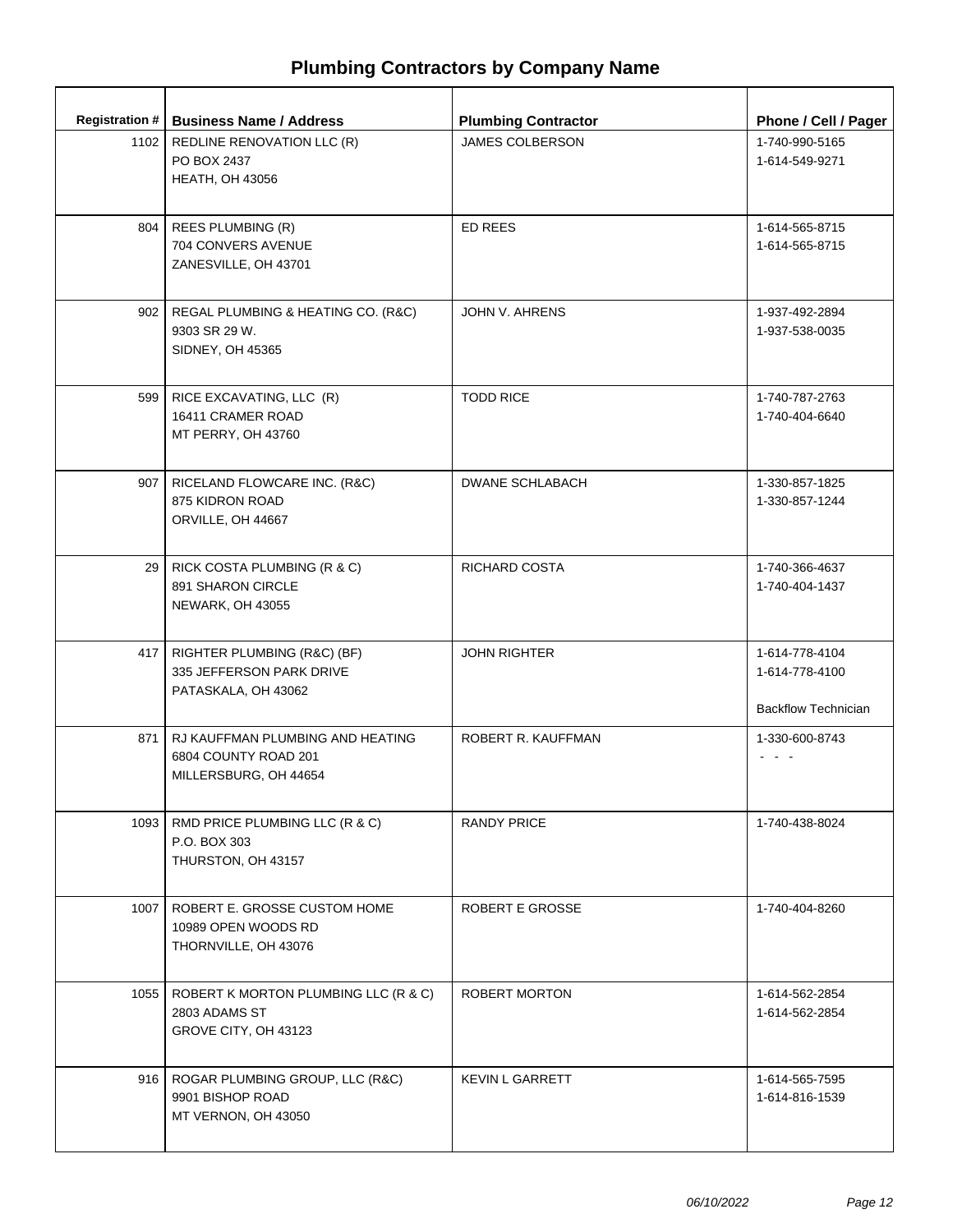|      | Registration #   Business Name / Address                                           | <b>Plumbing Contractor</b> | Phone / Cell / Pager                                           |
|------|------------------------------------------------------------------------------------|----------------------------|----------------------------------------------------------------|
|      | 1102   REDLINE RENOVATION LLC (R)<br>PO BOX 2437<br><b>HEATH, OH 43056</b>         | <b>JAMES COLBERSON</b>     | 1-740-990-5165<br>1-614-549-9271                               |
|      | 804   REES PLUMBING (R)<br>704 CONVERS AVENUE<br>ZANESVILLE, OH 43701              | <b>ED REES</b>             | 1-614-565-8715<br>1-614-565-8715                               |
| 902  | REGAL PLUMBING & HEATING CO. (R&C)<br>9303 SR 29 W.<br>SIDNEY, OH 45365            | JOHN V. AHRENS             | 1-937-492-2894<br>1-937-538-0035                               |
|      | 599   RICE EXCAVATING, LLC (R)<br>16411 CRAMER ROAD<br>MT PERRY, OH 43760          | <b>TODD RICE</b>           | 1-740-787-2763<br>1-740-404-6640                               |
| 907  | RICELAND FLOWCARE INC. (R&C)<br>875 KIDRON ROAD<br>ORVILLE, OH 44667               | <b>DWANE SCHLABACH</b>     | 1-330-857-1825<br>1-330-857-1244                               |
|      | 29 RICK COSTA PLUMBING (R & C)<br>891 SHARON CIRCLE<br><b>NEWARK, OH 43055</b>     | <b>RICHARD COSTA</b>       | 1-740-366-4637<br>1-740-404-1437                               |
| 417  | RIGHTER PLUMBING (R&C) (BF)<br>335 JEFFERSON PARK DRIVE<br>PATASKALA, OH 43062     | <b>JOHN RIGHTER</b>        | 1-614-778-4104<br>1-614-778-4100<br><b>Backflow Technician</b> |
| 871  | RJ KAUFFMAN PLUMBING AND HEATING<br>6804 COUNTY ROAD 201<br>MILLERSBURG, OH 44654  | ROBERT R. KAUFFMAN         | 1-330-600-8743                                                 |
| 1093 | RMD PRICE PLUMBING LLC (R & C)<br>P.O. BOX 303<br>THURSTON, OH 43157               | <b>RANDY PRICE</b>         | 1-740-438-8024                                                 |
|      | 1007   ROBERT E. GROSSE CUSTOM HOME<br>10989 OPEN WOODS RD<br>THORNVILLE, OH 43076 | ROBERT E GROSSE            | 1-740-404-8260                                                 |
| 1055 | ROBERT K MORTON PLUMBING LLC (R & C)<br>2803 ADAMS ST<br>GROVE CITY, OH 43123      | ROBERT MORTON              | 1-614-562-2854<br>1-614-562-2854                               |
|      | 916   ROGAR PLUMBING GROUP, LLC (R&C)<br>9901 BISHOP ROAD<br>MT VERNON, OH 43050   | <b>KEVIN L GARRETT</b>     | 1-614-565-7595<br>1-614-816-1539                               |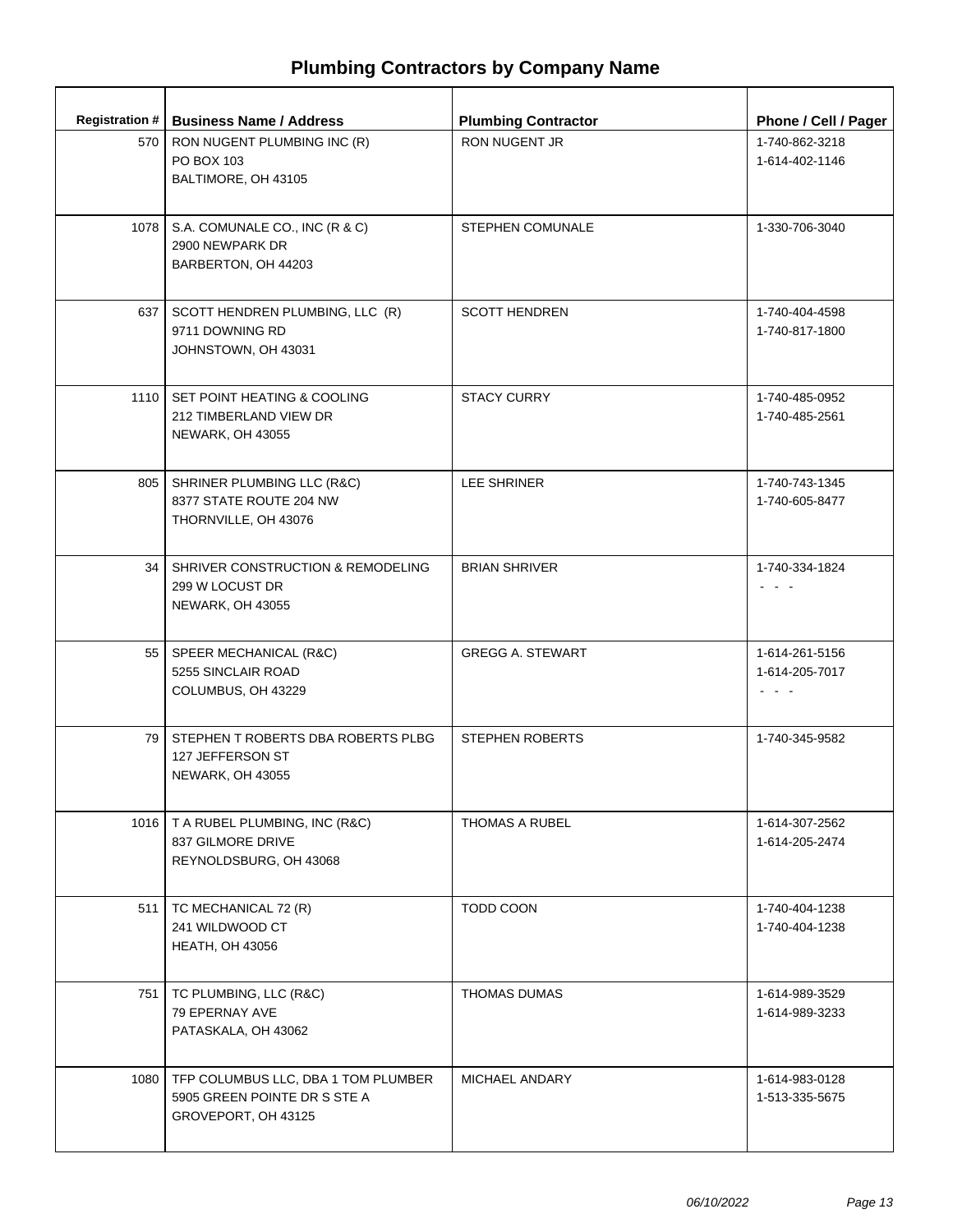|       | Registration #   Business Name / Address                                                          | <b>Plumbing Contractor</b> | Phone / Cell / Pager                       |
|-------|---------------------------------------------------------------------------------------------------|----------------------------|--------------------------------------------|
| 570   | RON NUGENT PLUMBING INC (R)<br>PO BOX 103<br>BALTIMORE, OH 43105                                  | <b>RON NUGENT JR</b>       | 1-740-862-3218<br>1-614-402-1146           |
| 1078  | S.A. COMUNALE CO., INC (R & C)<br>2900 NEWPARK DR<br>BARBERTON, OH 44203                          | STEPHEN COMUNALE           | 1-330-706-3040                             |
|       | 637   SCOTT HENDREN PLUMBING, LLC (R)<br>9711 DOWNING RD<br>JOHNSTOWN, OH 43031                   | <b>SCOTT HENDREN</b>       | 1-740-404-4598<br>1-740-817-1800           |
|       | 1110   SET POINT HEATING & COOLING<br>212 TIMBERLAND VIEW DR<br><b>NEWARK, OH 43055</b>           | <b>STACY CURRY</b>         | 1-740-485-0952<br>1-740-485-2561           |
| 805   | SHRINER PLUMBING LLC (R&C)<br>8377 STATE ROUTE 204 NW<br>THORNVILLE, OH 43076                     | <b>LEE SHRINER</b>         | 1-740-743-1345<br>1-740-605-8477           |
| 34 I  | SHRIVER CONSTRUCTION & REMODELING<br>299 W LOCUST DR<br>NEWARK, OH 43055                          | <b>BRIAN SHRIVER</b>       | 1-740-334-1824<br>- - -                    |
|       | 55   SPEER MECHANICAL (R&C)<br>5255 SINCLAIR ROAD<br>COLUMBUS, OH 43229                           | <b>GREGG A. STEWART</b>    | 1-614-261-5156<br>1-614-205-7017<br>ت بارت |
| 79 I  | STEPHEN T ROBERTS DBA ROBERTS PLBG<br>127 JEFFERSON ST<br>NEWARK, OH 43055                        | <b>STEPHEN ROBERTS</b>     | 1-740-345-9582                             |
|       | 1016   T A RUBEL PLUMBING, INC (R&C)<br>837 GILMORE DRIVE<br>REYNOLDSBURG, OH 43068               | <b>THOMAS A RUBEL</b>      | 1-614-307-2562<br>1-614-205-2474           |
| 511   | TC MECHANICAL 72 (R)<br>241 WILDWOOD CT<br><b>HEATH, OH 43056</b>                                 | TODD COON                  | 1-740-404-1238<br>1-740-404-1238           |
| 751 L | TC PLUMBING, LLC (R&C)<br>79 EPERNAY AVE<br>PATASKALA, OH 43062                                   | <b>THOMAS DUMAS</b>        | 1-614-989-3529<br>1-614-989-3233           |
|       | 1080   TFP COLUMBUS LLC, DBA 1 TOM PLUMBER<br>5905 GREEN POINTE DR S STE A<br>GROVEPORT, OH 43125 | MICHAEL ANDARY             | 1-614-983-0128<br>1-513-335-5675           |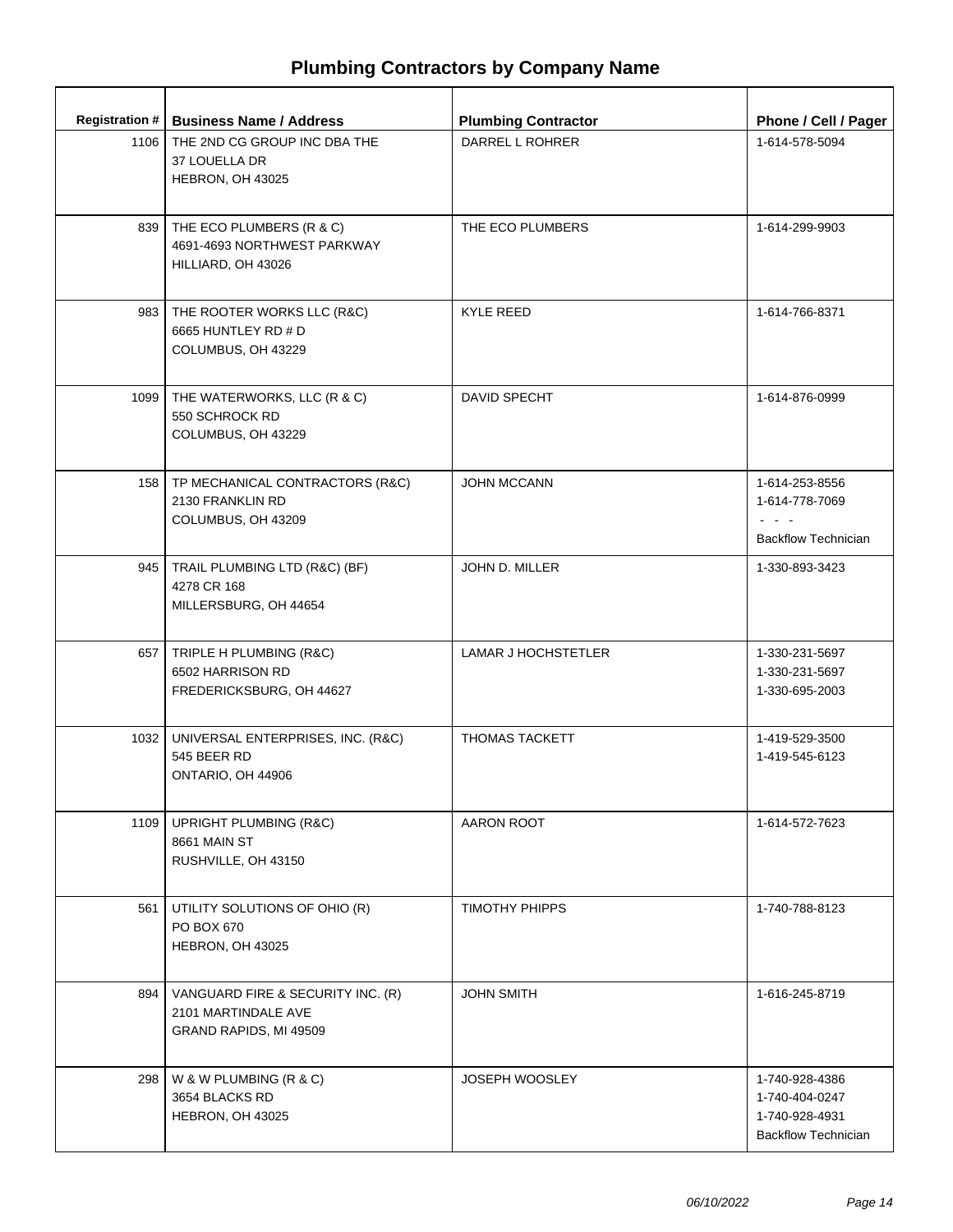|      | Registration #   Business Name / Address                                            | <b>Plumbing Contractor</b> | Phone / Cell / Pager                                                             |
|------|-------------------------------------------------------------------------------------|----------------------------|----------------------------------------------------------------------------------|
|      | 1106 THE 2ND CG GROUP INC DBA THE<br>37 LOUELLA DR<br>HEBRON, OH 43025              | DARREL L ROHRER            | 1-614-578-5094                                                                   |
|      | 839   THE ECO PLUMBERS (R & C)<br>4691-4693 NORTHWEST PARKWAY<br>HILLIARD, OH 43026 | THE ECO PLUMBERS           | 1-614-299-9903                                                                   |
| 983  | THE ROOTER WORKS LLC (R&C)<br>6665 HUNTLEY RD # D<br>COLUMBUS, OH 43229             | <b>KYLE REED</b>           | 1-614-766-8371                                                                   |
| 1099 | THE WATERWORKS, LLC (R & C)<br>550 SCHROCK RD<br>COLUMBUS, OH 43229                 | DAVID SPECHT               | 1-614-876-0999                                                                   |
|      | 158   TP MECHANICAL CONTRACTORS (R&C)<br>2130 FRANKLIN RD<br>COLUMBUS, OH 43209     | <b>JOHN MCCANN</b>         | 1-614-253-8556<br>1-614-778-7069<br><b>Backflow Technician</b>                   |
|      | 945   TRAIL PLUMBING LTD (R&C) (BF)<br>4278 CR 168<br>MILLERSBURG, OH 44654         | JOHN D. MILLER             | 1-330-893-3423                                                                   |
|      | 657   TRIPLE H PLUMBING (R&C)<br>6502 HARRISON RD<br>FREDERICKSBURG, OH 44627       | LAMAR J HOCHSTETLER        | 1-330-231-5697<br>1-330-231-5697<br>1-330-695-2003                               |
| 1032 | UNIVERSAL ENTERPRISES, INC. (R&C)<br>545 BEER RD<br>ONTARIO, OH 44906               | <b>THOMAS TACKETT</b>      | 1-419-529-3500<br>1-419-545-6123                                                 |
| 1109 | UPRIGHT PLUMBING (R&C)<br><b>8661 MAIN ST</b><br>RUSHVILLE, OH 43150                | AARON ROOT                 | 1-614-572-7623                                                                   |
| 561  | UTILITY SOLUTIONS OF OHIO (R)<br>PO BOX 670<br>HEBRON, OH 43025                     | TIMOTHY PHIPPS             | 1-740-788-8123                                                                   |
| 894  | VANGUARD FIRE & SECURITY INC. (R)<br>2101 MARTINDALE AVE<br>GRAND RAPIDS, MI 49509  | <b>JOHN SMITH</b>          | 1-616-245-8719                                                                   |
| 298  | W & W PLUMBING (R & C)<br>3654 BLACKS RD<br>HEBRON, OH 43025                        | <b>JOSEPH WOOSLEY</b>      | 1-740-928-4386<br>1-740-404-0247<br>1-740-928-4931<br><b>Backflow Technician</b> |